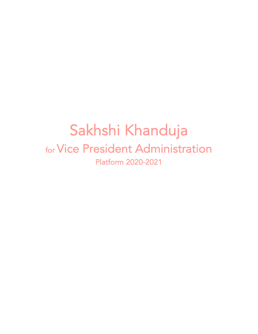# Sakhshi Khanduja for Vice President Administration Platform 2020-2021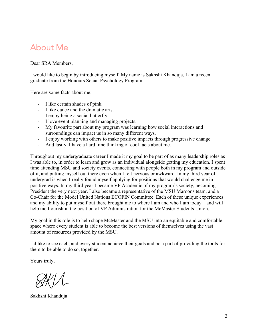## About Me

Dear SRA Members,

I would like to begin by introducing myself. My name is Sakhshi Khanduja, I am a recent graduate from the Honours Social Psychology Program.

Here are some facts about me:

- I like certain shades of pink.
- I like dance and the dramatic arts.
- I enjoy being a social butterfly.
- I love event planning and managing projects.
- My favourite part about my program was learning how social interactions and surroundings can impact us in so many different ways.
- I enjoy working with others to make positive impacts through progressive change.
- And lastly, I have a hard time thinking of cool facts about me.

Throughout my undergraduate career I made it my goal to be part of as many leadership roles as I was able to, in order to learn and grow as an individual alongside getting my education. I spent time attending MSU and society events, connecting with people both in my program and outside of it, and putting myself out there even when I felt nervous or awkward. In my third year of undergrad is when I really found myself applying for positions that would challenge me in positive ways. In my third year I became VP Academic of my program's society, becoming President the very next year. I also became a representative of the MSU Maroons team, and a Co-Chair for the Model United Nations ECOFIN Committee. Each of these unique experiences and my ability to put myself out there brought me to where I am and who I am today – and will help me flourish in the position of VP Administration for the McMaster Students Union.

My goal in this role is to help shape McMaster and the MSU into an equitable and comfortable space where every student is able to become the best versions of themselves using the vast amount of resources provided by the MSU.

I'd like to see each, and every student achieve their goals and be a part of providing the tools for them to be able to do so, together.

Yours truly,

Sakhshi Khanduja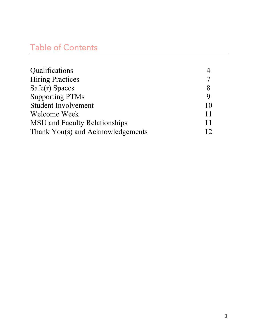# Table of Contents

| Qualifications                       |    |
|--------------------------------------|----|
| <b>Hiring Practices</b>              |    |
| $Safe(r)$ Spaces                     |    |
| <b>Supporting PTMs</b>               |    |
| <b>Student Involvement</b>           | 10 |
| Welcome Week                         | 11 |
| <b>MSU</b> and Faculty Relationships | 11 |
| Thank You(s) and Acknowledgements    |    |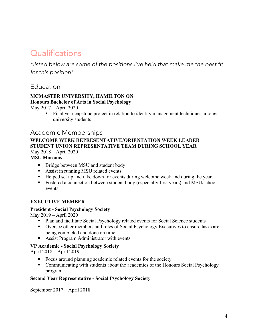### **Qualifications**

*\*listed below are some of the positions I've held that make me the best fit for this position\**

#### Education

#### **MCMASTER UNIVERSITY, HAMILTON ON Honours Bachelor of Arts in Social Psychology**

May 2017 – April 2020

• Final year capstone project in relation to identity management techniques amongst university students

#### Academic Memberships

#### **WELCOME WEEK REPRESENTATIVE/ORIENTATION WEEK LEADER STUDENT UNION REPRESENTATIVE TEAM DURING SCHOOL YEAR** May 2018 – April 2020

**MSU Maroons**

- Bridge between MSU and student body
- Assist in running MSU related events
- Helped set up and take down for events during welcome week and during the year
- Fostered a connection between student body (especially first years) and MSU/school events

#### **EXECUTIVE MEMBER**

#### **President - Social Psychology Society**

May 2019 – April 2020

- Plan and facilitate Social Psychology related events for Social Science students
- Oversee other members and roles of Social Psychology Executives to ensure tasks are being completed and done on time
- Assist Program Administrator with events

#### **VP Academic - Social Psychology Society**

April 2018 – April 2019

- Focus around planning academic related events for the society
- Communicating with students about the academics of the Honours Social Psychology program

#### **Second Year Representative - Social Psychology Society**

September 2017 – April 2018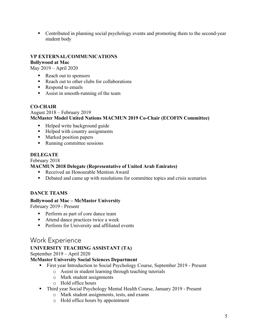■ Contributed in planning social psychology events and promoting them to the second-year student body

#### **VP EXTERNAL/COMMUNICATIONS**

#### **Bollywood at Mac**

May 2019 – April 2020

- Reach out to sponsors
- Reach out to other clubs for collaborations
- Respond to emails
- Assist in smooth-running of the team

#### **CO-CHAIR**

#### August 2018 – February 2019 **McMaster Model United Nations MACMUN 2019 Co-Chair (ECOFIN Committee)**

- Helped write background guide
- Helped with country assignments
- Marked position papers
- Running committee sessions

#### **DELEGATE**

February 2018

#### **MACMUN 2018 Delegate (Representative of United Arab Emirates)**

- Received an Honourable Mention Award
- Debated and came up with resolutions for committee topics and crisis scenarios

#### **DANCE TEAMS**

#### **Bollywood at Mac – McMaster University**

February 2019 - Present

- Perform as part of core dance team
- Attend dance practices twice a week
- Perform for University and affiliated events

#### Work Experience

#### **UNIVERSITY TEACHING ASSISTANT (TA)**

September 2019 – April 2020

#### **McMaster University Social Sciences Department**

- First year Introduction to Social Psychology Course, September 2019 Present
	- o Assist in student learning through teaching tutorials
	- o Mark student assignments
	- o Hold office hours
- Third year Social Psychology Mental Health Course, January 2019 Present
	- o Mark student assignments, tests, and exams
	- o Hold office hours by appointment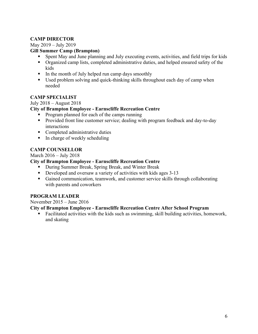#### **CAMP DIRECTOR**

May 2019 – July 2019

#### **Gill Summer Camp (Brampton)**

- § Spent May and June planning and July executing events, activities, and field trips for kids
- Organized camp lists, completed administrative duties, and helped ensured safety of the kids
- In the month of July helped run camp days smoothly
- Used problem solving and quick-thinking skills throughout each day of camp when needed

#### **CAMP SPECIALIST**

July 2018 – August 2018

#### **City of Brampton Employee - Earnscliffe Recreation Centre**

- Program planned for each of the camps running
- Provided front line customer service; dealing with program feedback and day-to-day interactions
- Completed administrative duties
- In charge of weekly scheduling

#### **CAMP COUNSELLOR**

March 2016 – July 2018

#### **City of Brampton Employee - Earnscliffe Recreation Centre**

- During Summer Break, Spring Break, and Winter Break
- Developed and oversaw a variety of activities with kids ages 3-13
- Gained communication, teamwork, and customer service skills through collaborating with parents and coworkers

#### **PROGRAM LEADER**

November 2015 – June 2016

#### **City of Brampton Employee - Earnscliffe Recreation Centre After School Program**

■ Facilitated activities with the kids such as swimming, skill building activities, homework, and skating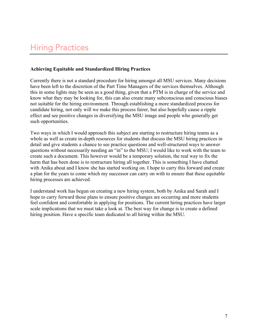## Hiring Practices

#### **Achieving Equitable and Standardized Hiring Practices**

Currently there is not a standard procedure for hiring amongst all MSU services. Many decisions have been left to the discretion of the Part Time Managers of the services themselves. Although this in some lights may be seen as a good thing, given that a PTM is in charge of the service and know what they may be looking for, this can also create many subconscious and conscious biases not suitable for the hiring environment. Through establishing a more standardized process for candidate hiring, not only will we make this process fairer, but also hopefully cause a ripple effect and see positive changes in diversifying the MSU image and people who generally get such opportunities.

Two ways in which I would approach this subject are starting to restructure hiring teams as a whole as well as create in-depth resources for students that discuss the MSU hiring practices in detail and give students a chance to see practice questions and well-structured ways to answer questions without necessarily needing an "in" to the MSU; I would like to work with the team to create such a document. This however would be a temporary solution, the real way to fix the harm that has been done is to restructure hiring all together. This is something I have chatted with Anika about and I know she has started working on. I hope to carry this forward and create a plan for the years to come which my successor can carry on with to ensure that these equitable hiring processes are achieved.

I understand work has begun on creating a new hiring system, both by Anika and Sarah and I hope to carry forward those plans to ensure positive changes are occurring and more students feel confident and comfortable in applying for positions. The current hiring practices have larger scale implications that we must take a look at. The best way for change is to create a defined hiring position. Have a specific team dedicated to all hiring within the MSU.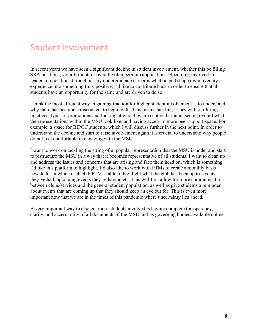### Student Involvement

In recent years we have seen a significant decline in student involvement, whether this be filling SRA positions, voter turnout, or overall volunteer/club applications. Becoming involved in leadership positions throughout my undergraduate career is what helped shape my university experience into something truly positive, I'd like to contribute back in order to ensure that all students have an opportunity for the same and are driven to do so.

I think the most efficient way in gaining traction for higher student involvement is to understand why there has become a disconnect to begin with. This means tackling issues with our hiring practices, types of promotions and looking at who they are centered around, seeing overall what the representations within the MSU look like, and having access to more peer support space. For example, a space for BIPOC students, which I will discuss further in the next point. In order to understand the decline and start to raise involvement again it is crucial to understand why people do not feel comfortable in engaging with the MSU.

I want to work on tackling the string of unpopular representation that the MSU is under and start to restructure the MSU in a way that it becomes representative of all students. I want to clean up and address the issues and concerns that are arising and face them head on, which is something I'd like this platform to highlight. I'd also like to work with PTMs to create a monthly basis newsletter in which each club PTM is able to highlight what the club has been up to, events they've had, upcoming events they're having etc. This will first allow for more communication between clubs/services and the general student population, as well as give students a reminder about events that are coming up that they should keep an eye out for. This is even more important now that we are in the times of this pandemic where uncertainty lies ahead.

A very important way to also get more students involved is having complete transparency, clarity, and accessibility of all documents of the MSU and its governing bodies available online.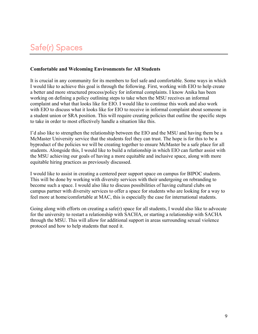# Safe(r) Spaces

#### **Comfortable and Welcoming Environments for All Students**

It is crucial in any community for its members to feel safe and comfortable. Some ways in which I would like to achieve this goal is through the following. First, working with EIO to help create a better and more structured process/policy for informal complaints. I know Anika has been working on defining a policy outlining steps to take when the MSU receives an informal complaint and what that looks like for EIO. I would like to continue this work and also work with EIO to discuss what it looks like for EIO to receive in informal complaint about someone in a student union or SRA position. This will require creating policies that outline the specific steps to take in order to most effectively handle a situation like this.

I'd also like to strengthen the relationship between the EIO and the MSU and having them be a McMaster University service that the students feel they can trust. The hope is for this to be a byproduct of the policies we will be creating together to ensure McMaster be a safe place for all students. Alongside this, I would like to build a relationship in which EIO can further assist with the MSU achieving our goals of having a more equitable and inclusive space, along with more equitable hiring practices as previously discussed.

I would like to assist in creating a centered peer support space on campus for BIPOC students. This will be done by working with diversity services with their undergoing on rebranding to become such a space. I would also like to discuss possibilities of having cultural clubs on campus partner with diversity services to offer a space for students who are looking for a way to feel more at home/comfortable at MAC, this is especially the case for international students.

Going along with efforts on creating a safe(r) space for all students, I would also like to advocate for the university to restart a relationship with SACHA, or starting a relationship with SACHA through the MSU. This will allow for additional support in areas surrounding sexual violence protocol and how to help students that need it.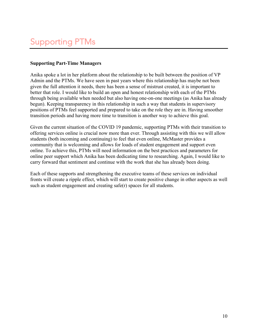#### **Supporting Part-Time Managers**

Anika spoke a lot in her platform about the relationship to be built between the position of VP Admin and the PTMs. We have seen in past years where this relationship has maybe not been given the full attention it needs, there has been a sense of mistrust created, it is important to better that role. I would like to build an open and honest relationship with each of the PTMs through being available when needed but also having one-on-one meetings (as Anika has already begun). Keeping transparency in this relationship in such a way that students in supervisory positions of PTMs feel supported and prepared to take on the role they are in. Having smoother transition periods and having more time to transition is another way to achieve this goal.

Given the current situation of the COVID 19 pandemic, supporting PTMs with their transition to offering services online is crucial now more than ever. Through assisting with this we will allow students (both incoming and continuing) to feel that even online, McMaster provides a community that is welcoming and allows for loads of student engagement and support even online. To achieve this, PTMs will need information on the best practices and parameters for online peer support which Anika has been dedicating time to researching. Again, I would like to carry forward that sentiment and continue with the work that she has already been doing.

Each of these supports and strengthening the executive teams of these services on individual fronts will create a ripple effect, which will start to create positive change in other aspects as well such as student engagement and creating safe(r) spaces for all students.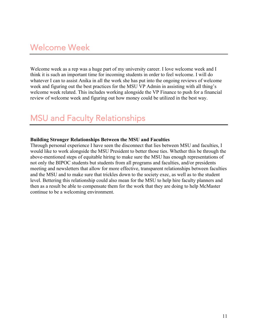### Welcome Week

Welcome week as a rep was a huge part of my university career. I love welcome week and I think it is such an important time for incoming students in order to feel welcome. I will do whatever I can to assist Anika in all the work she has put into the ongoing reviews of welcome week and figuring out the best practices for the MSU VP Admin in assisting with all thing's welcome week related. This includes working alongside the VP Finance to push for a financial review of welcome week and figuring out how money could be utilized in the best way.

### MSU and Faculty Relationships

#### **Building Stronger Relationships Between the MSU and Faculties**

Through personal experience I have seen the disconnect that lies between MSU and faculties, I would like to work alongside the MSU President to better those ties. Whether this be through the above-mentioned steps of equitable hiring to make sure the MSU has enough representations of not only the BIPOC students but students from all programs and faculties, and/or presidents meeting and newsletters that allow for more effective, transparent relationships between faculties and the MSU and to make sure that trickles down to the society exec, as well as to the student level. Bettering this relationship could also mean for the MSU to help hire faculty planners and then as a result be able to compensate them for the work that they are doing to help McMaster continue to be a welcoming environment.